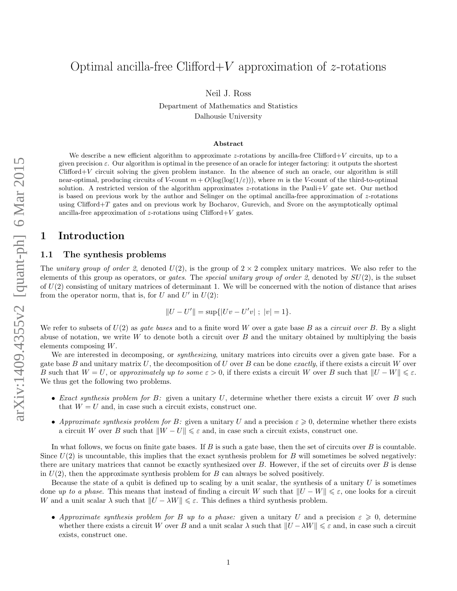# Optimal ancilla-free Clifford + V approximation of  $z$ -rotations

Neil J. Ross

Department of Mathematics and Statistics Dalhousie University

#### Abstract

We describe a new efficient algorithm to approximate z-rotations by ancilla-free Clifford+V circuits, up to a given precision  $\varepsilon$ . Our algorithm is optimal in the presence of an oracle for integer factoring: it outputs the shortest  $Clifford+V$  circuit solving the given problem instance. In the absence of such an oracle, our algorithm is still near-optimal, producing circuits of V-count  $m + O(\log(\log(1/\varepsilon)))$ , where m is the V-count of the third-to-optimal solution. A restricted version of the algorithm approximates z-rotations in the Pauli $+V$  gate set. Our method is based on previous work by the author and Selinger on the optimal ancilla-free approximation of z-rotations using Clifford $+T$  gates and on previous work by Bocharov, Gurevich, and Svore on the asymptotically optimal ancilla-free approximation of z-rotations using  $Clifford+V$  gates.

### 1 Introduction

#### 1.1 The synthesis problems

The unitary group of order 2, denoted  $U(2)$ , is the group of  $2 \times 2$  complex unitary matrices. We also refer to the elements of this group as operators, or *gates*. The *special unitary group of order 2*, denoted by  $SU(2)$ , is the subset of  $U(2)$  consisting of unitary matrices of determinant 1. We will be concerned with the notion of distance that arises from the operator norm, that is, for U and  $U'$  in  $U(2)$ :

$$
||U - U'|| = \sup\{|Uv - U'v| \; ; \; |v| = 1\}.
$$

We refer to subsets of  $U(2)$  as *gate bases* and to a finite word W over a gate base B as a *circuit over* B. By a slight abuse of notation, we write  $W$  to denote both a circuit over  $B$  and the unitary obtained by multiplying the basis elements composing W.

We are interested in decomposing, or *synthesizing*, unitary matrices into circuits over a given gate base. For a gate base B and unitary matrix U, the decomposition of U over B can be done exactly, if there exists a circuit W over B such that  $W = U$ , or approximately up to some  $\varepsilon > 0$ , if there exists a circuit W over B such that  $||U - W|| \leq \varepsilon$ . We thus get the following two problems.

- Exact synthesis problem for B: given a unitary  $U$ , determine whether there exists a circuit W over B such that  $W = U$  and, in case such a circuit exists, construct one.
- Approximate synthesis problem for B: given a unitary U and a precision  $\varepsilon \geqslant 0$ , determine whether there exists a circuit W over B such that  $||W - U|| \leq \varepsilon$  and, in case such a circuit exists, construct one.

In what follows, we focus on finite gate bases. If  $B$  is such a gate base, then the set of circuits over  $B$  is countable. Since  $U(2)$  is uncountable, this implies that the exact synthesis problem for B will sometimes be solved negatively: there are unitary matrices that cannot be exactly synthesized over  $B$ . However, if the set of circuits over  $B$  is dense in  $U(2)$ , then the approximate synthesis problem for B can always be solved positively.

Because the state of a qubit is defined up to scaling by a unit scalar, the synthesis of a unitary  $U$  is sometimes done up to a phase. This means that instead of finding a circuit W such that  $||U - W|| \leq \varepsilon$ , one looks for a circuit W and a unit scalar  $\lambda$  such that  $||U - \lambda W|| \leq \varepsilon$ . This defines a third synthesis problem.

• Approximate synthesis problem for B up to a phase: given a unitary U and a precision  $\varepsilon \geqslant 0$ , determine whether there exists a circuit W over B and a unit scalar  $\lambda$  such that  $||U - \lambda W|| \leq \varepsilon$  and, in case such a circuit exists, construct one.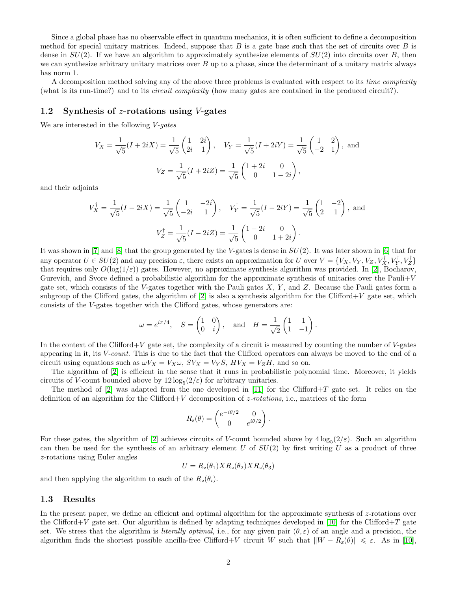Since a global phase has no observable effect in quantum mechanics, it is often sufficient to define a decomposition method for special unitary matrices. Indeed, suppose that  $B$  is a gate base such that the set of circuits over  $B$  is dense in  $SU(2)$ . If we have an algorithm to approximately synthesize elements of  $SU(2)$  into circuits over B, then we can synthesize arbitrary unitary matrices over  $B$  up to a phase, since the determinant of a unitary matrix always has norm 1.

A decomposition method solving any of the above three problems is evaluated with respect to its time complexity (what is its run-time?) and to its circuit complexity (how many gates are contained in the produced circuit?).

#### 1.2 Synthesis of z-rotations using V-gates

We are interested in the following V-gates

$$
V_X = \frac{1}{\sqrt{5}}(I + 2iX) = \frac{1}{\sqrt{5}} \begin{pmatrix} 1 & 2i \\ 2i & 1 \end{pmatrix}, \quad V_Y = \frac{1}{\sqrt{5}}(I + 2iY) = \frac{1}{\sqrt{5}} \begin{pmatrix} 1 & 2 \\ -2 & 1 \end{pmatrix}, \text{ and}
$$

$$
V_Z = \frac{1}{\sqrt{5}}(I + 2iZ) = \frac{1}{\sqrt{5}} \begin{pmatrix} 1+2i & 0 \\ 0 & 1-2i \end{pmatrix},
$$

and their adjoints

$$
V_X^{\dagger} = \frac{1}{\sqrt{5}}(I - 2iX) = \frac{1}{\sqrt{5}} \begin{pmatrix} 1 & -2i \\ -2i & 1 \end{pmatrix}, \quad V_Y^{\dagger} = \frac{1}{\sqrt{5}}(I - 2iY) = \frac{1}{\sqrt{5}} \begin{pmatrix} 1 & -2 \\ 2 & 1 \end{pmatrix}, \text{ and}
$$

$$
V_Z^{\dagger} = \frac{1}{\sqrt{5}}(I - 2iZ) = \frac{1}{\sqrt{5}} \begin{pmatrix} 1 - 2i & 0 \\ 0 & 1 + 2i \end{pmatrix}.
$$

It was shown in  $[7]$  and  $[8]$  that the group generated by the V-gates is dense in  $SU(2)$ . It was later shown in  $[6]$  that for any operator  $U \in SU(2)$  and any precision  $\varepsilon$ , there exists an approximation for U over  $V = \{V_X, V_Y, V_Z, V_X^{\dagger}, V_Y^{\dagger}, V_Z^{\dagger}\}$ that requires only  $O(\log(1/\varepsilon))$  gates. However, no approximate synthesis algorithm was provided. In [\[2\]](#page-13-3), Bocharov, Gurevich, and Svore defined a probabilistic algorithm for the approximate synthesis of unitaries over the Pauli $+V$ gate set, which consists of the V-gates together with the Pauli gates  $X, Y$ , and  $Z$ . Because the Pauli gates form a subgroup of the Clifford gates, the algorithm of  $[2]$  is also a synthesis algorithm for the Clifford+V gate set, which consists of the V-gates together with the Clifford gates, whose generators are:

$$
\omega = e^{i\pi/4}, \quad S = \begin{pmatrix} 1 & 0 \\ 0 & i \end{pmatrix}, \text{ and } H = \frac{1}{\sqrt{2}} \begin{pmatrix} 1 & 1 \\ 1 & -1 \end{pmatrix}.
$$

In the context of the Clifford+V gate set, the complexity of a circuit is measured by counting the number of V-gates appearing in it, its V-count. This is due to the fact that the Clifford operators can always be moved to the end of a circuit using equations such as  $\omega V_X = V_X \omega$ ,  $SV_X = V_Y S$ ,  $HV_X = V_Z H$ , and so on.

The algorithm of [\[2\]](#page-13-3) is efficient in the sense that it runs in probabilistic polynomial time. Moreover, it yields circuits of V-count bounded above by  $12 \log_5(2/\varepsilon)$  for arbitrary unitaries.

The method of  $[2]$  was adapted from the one developed in  $[11]$  for the Clifford+T gate set. It relies on the definition of an algorithm for the Clifford+V decomposition of  $z$ -rotations, i.e., matrices of the form

$$
R_{\rm z}(\theta) = \begin{pmatrix} e^{-i\theta/2} & 0 \\ 0 & e^{i\theta/2} \end{pmatrix}.
$$

For these gates, the algorithm of [\[2\]](#page-13-3) achieves circuits of V-count bounded above by  $4\log_5(2/\varepsilon)$ . Such an algorithm can then be used for the synthesis of an arbitrary element  $U$  of  $SU(2)$  by first writing  $U$  as a product of three z-rotations using Euler angles

$$
U = R_z(\theta_1) X R_z(\theta_2) X R_z(\theta_3)
$$

and then applying the algorithm to each of the  $R_z(\theta_i)$ .

#### 1.3 Results

In the present paper, we define an efficient and optimal algorithm for the approximate synthesis of z-rotations over the Clifford+V gate set. Our algorithm is defined by adapting techniques developed in [\[10\]](#page-13-5) for the Clifford+T gate set. We stress that the algorithm is *literally optimal*, i.e., for any given pair  $(\theta, \varepsilon)$  of an angle and a precision, the algorithm finds the shortest possible ancilla-free Clifford+V circuit W such that  $\|W - R_z(\theta)\| \leq \varepsilon$ . As in [\[10\]](#page-13-5),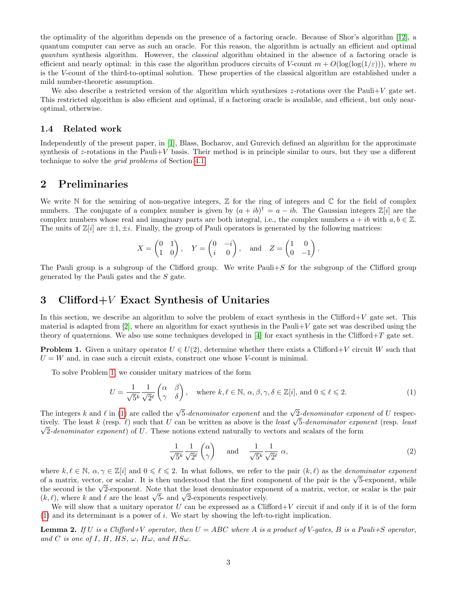the optimality of the algorithm depends on the presence of a factoring oracle. Because of Shor's algorithm [\[12\]](#page-13-6), a quantum computer can serve as such an oracle. For this reason, the algorithm is actually an efficient and optimal quantum synthesis algorithm. However, the *classical* algorithm obtained in the absence of a factoring oracle is efficient and nearly optimal: in this case the algorithm produces circuits of V-count  $m + O(\log(\log(1/\varepsilon)))$ , where m is the V-count of the third-to-optimal solution. These properties of the classical algorithm are established under a mild number-theoretic assumption.

We also describe a restricted version of the algorithm which synthesizes z-rotations over the Pauli+V gate set. This restricted algorithm is also efficient and optimal, if a factoring oracle is available, and efficient, but only nearoptimal, otherwise.

#### 1.4 Related work

Independently of the present paper, in [\[1\]](#page-13-7), Blass, Bocharov, and Gurevich defined an algorithm for the approximate synthesis of  $z$ -rotations in the Pauli $+V$  basis. Their method is in principle similar to ours, but they use a different technique to solve the grid problems of Section [4.1.](#page-7-0)

### 2 Preliminaries

We write N for the semiring of non-negative integers,  $\mathbb Z$  for the ring of integers and  $\mathbb C$  for the field of complex numbers. The conjugate of a complex number is given by  $(a + ib)^{\dagger} = a - ib$ . The Gaussian integers  $\mathbb{Z}[i]$  are the complex numbers whose real and imaginary parts are both integral, i.e., the complex numbers  $a + ib$  with  $a, b \in \mathbb{Z}$ . The units of  $\mathbb{Z}[i]$  are  $\pm 1, \pm i$ . Finally, the group of Pauli operators is generated by the following matrices:

$$
X = \begin{pmatrix} 0 & 1 \\ 1 & 0 \end{pmatrix}, \quad Y = \begin{pmatrix} 0 & -i \\ i & 0 \end{pmatrix}, \quad \text{and} \quad Z = \begin{pmatrix} 1 & 0 \\ 0 & -1 \end{pmatrix}.
$$

The Pauli group is a subgroup of the Clifford group. We write  $Pauli+S$  for the subgroup of the Clifford group generated by the Pauli gates and the S gate.

### 3 Clifford+V Exact Synthesis of Unitaries

In this section, we describe an algorithm to solve the problem of exact synthesis in the Clifford+ $V$  gate set. This material is adapted from  $[2]$ , where an algorithm for exact synthesis in the Pauli+V gate set was described using the theory of quaternions. We also use some techniques developed in [\[4\]](#page-13-8) for exact synthesis in the Clifford+T gate set.

<span id="page-2-0"></span>**Problem 1.** Given a unitary operator  $U \in U(2)$ , determine whether there exists a Clifford+V circuit W such that  $U = W$  and, in case such a circuit exists, construct one whose V-count is minimal.

To solve Problem [1,](#page-2-0) we consider unitary matrices of the form

$$
U = \frac{1}{\sqrt{5}^k} \frac{1}{\sqrt{2}^\ell} \begin{pmatrix} \alpha & \beta \\ \gamma & \delta \end{pmatrix}, \quad \text{where } k, \ell \in \mathbb{N}, \alpha, \beta, \gamma, \delta \in \mathbb{Z}[i], \text{ and } 0 \leqslant \ell \leqslant 2. \tag{1}
$$

The integers k and  $\ell$  in [\(1\)](#page-2-1) are called the  $\sqrt{5}$ -denominator exponent and the  $\sqrt{2}$ -denominator exponent of U respec-The integers k and l in (1) are called the  $\sqrt{5}$ -denominator exponent and the  $\sqrt{2}$ -denominator exponent of U respectively. The least k (resp. l) such that U can be written as above is the least  $\sqrt{5}$ -denominator ex  $\sqrt{2}$ -denominator exponent) of U. These notions extend naturally to vectors and scalars of the form

<span id="page-2-2"></span><span id="page-2-1"></span>
$$
\frac{1}{\sqrt{5}^k} \frac{1}{\sqrt{2}^\ell} \begin{pmatrix} \alpha \\ \gamma \end{pmatrix} \quad \text{and} \quad \frac{1}{\sqrt{5}^k} \frac{1}{\sqrt{2}^\ell} \alpha,
$$
\n
$$
(2)
$$

where  $k, \ell \in \mathbb{N}, \alpha, \gamma \in \mathbb{Z}[i]$  and  $0 \leq \ell \leq 2$ . In what follows, we refer to the pair  $(k, \ell)$  as the *denominator exponent* where  $\kappa, \ell \in \mathbb{N}, \alpha, \gamma \in \mathbb{Z}[i]$  and  $0 \leq \ell \leq 2$ . In what follows, we refer to the pair  $(\kappa, \ell)$  as the *denominator exponent* of a matrix, vector, or scalar. It is then understood that the first component of the or a matrix, vector, or scalar. It is then understood that the first component of the pair is the  $\sqrt{3}$ -exponent, while<br>the second is the √2-exponent. Note that the least denominator exponent of a matrix, vector, or sca the second is the  $\sqrt{2}$ -exponent. Note that the least denominator exponents  $(k, \ell)$ , where k and  $\ell$  are the least  $\sqrt{5}$ - and  $\sqrt{2}$ -exponents respectively.

We will show that a unitary operator U can be expressed as a Clifford+V circuit if and only if it is of the form [\(1\)](#page-2-1) and its determinant is a power of i. We start by showing the left-to-right implication.

<span id="page-2-3"></span>**Lemma 2.** If U is a Clifford+V operator, then  $U = ABC$  where A is a product of V-gates, B is a Pauli+S operator, and C is one of I, H, HS,  $\omega$ , H $\omega$ , and HS $\omega$ .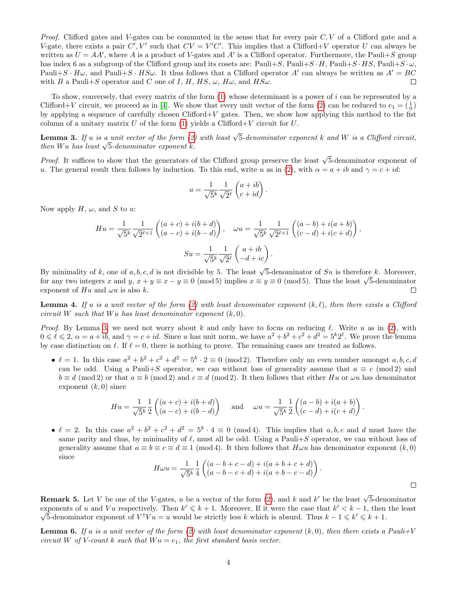*Proof.* Clifford gates and V-gates can be commuted in the sense that for every pair  $C, V$  of a Clifford gate and a V-gate, there exists a pair  $C', V'$  such that  $CV = V'C'$ . This implies that a Clifford+V operator U can always be written as  $U = AA'$ , where A is a product of V-gates and A' is a Clifford operator. Furthermore, the Pauli+S group has index 6 as a subgroup of the Clifford group and its cosets are: Pauli+S, Pauli+S  $\cdot H$ , Pauli+S  $\cdot H$ S, Pauli+S  $\cdot \omega$ , Pauli $+S \cdot H\omega$ , and Pauli $+S \cdot HS\omega$ . It thus follows that a Clifford operator A' can always be written as  $A' = BC$ with B a Pauli+S operator and C one of I, H, HS,  $\omega$ , H $\omega$ , and HS $\omega$ .  $\Box$ 

To show, conversely, that every matrix of the form [\(1\)](#page-2-1) whose determinant is a power of i can be represented by a Clifford+V circuit, we proceed as in [\[4\]](#page-13-8). We show that every unit vector of the form [\(2\)](#page-2-2) can be reduced to  $e_1 = \begin{pmatrix} 1 \\ 0 \end{pmatrix}$ by applying a sequence of carefully chosen Clifford+V gates. Then, we show how applying this method to the fist column of a unitary matrix U of the form  $(1)$  yields a Clifford+V circuit for U.

<span id="page-3-0"></span>**Lemma 3.** If u is a unit vector of the form [\(2\)](#page-2-2) with least  $\sqrt{5}$ -denominator exponent k and W is a Clifford circuit, **Lemma 3.** If u is a unit vector of the form  $(z)$ <br>then Wu has least  $\sqrt{5}$ -denominator exponent k.

*Proof.* It suffices to show that the generators of the Clifford group preserve the least  $\sqrt{5}$ -denominator exponent of u. The general result then follows by induction. To this end, write u as in [\(2\)](#page-2-2), with  $\alpha = a + ib$  and  $\gamma = c + id$ :

$$
u = \frac{1}{\sqrt{5}^k} \frac{1}{\sqrt{2}^\ell} \begin{pmatrix} a+ib \\ c+id \end{pmatrix}.
$$

Now apply  $H, \omega$ , and S to u:

$$
Hu = \frac{1}{\sqrt{5}^k} \frac{1}{\sqrt{2}^{\ell+1}} \begin{pmatrix} (a+c) + i(b+d) \\ (a-c) + i(b-d) \end{pmatrix}, \quad \omega u = \frac{1}{\sqrt{5}^k} \frac{1}{\sqrt{2}^{\ell+1}} \begin{pmatrix} (a-b) + i(a+b) \\ (c-d) + i(c+d) \end{pmatrix},
$$

$$
Su = \frac{1}{\sqrt{5}^k} \frac{1}{\sqrt{2}^{\ell}} \begin{pmatrix} a+ib \\ -d+ic \end{pmatrix}.
$$

By minimality of k, one of a, b, c, d is not divisible by 5. The least  $\sqrt{5}$ -denominator of Su is therefore k. Moreover, by minimality of k, one or  $a, b, c, a$  is not divisible by 5. The least  $\sqrt{5}$ -denominator or  $5u$  is therefore k. Moreover, for any two integers x and  $y, x + y \equiv x - y \equiv 0 \pmod{5}$  implies  $x \equiv y \equiv 0 \pmod{5}$ . Thus the least  $\sqrt{5}$ exponent of  $Hu$  and  $\omega u$  is also k.  $\Box$ 

<span id="page-3-1"></span>**Lemma 4.** If u is a unit vector of the form [\(2\)](#page-2-2) with least denominator exponent  $(k, \ell)$ , then there exists a Clifford circuit W such that Wu has least denominator exponent  $(k, 0)$ .

*Proof.* By Lemma [3,](#page-3-0) we need not worry about k and only have to focus on reducing  $\ell$ . Write u as in [\(2\)](#page-2-2), with  $0 \leq \ell \leq 2$ ,  $\alpha = a + ib$ , and  $\gamma = c + id$ . Since u has unit norm, we have  $a^2 + b^2 + c^2 + d^2 = 5^k 2^{\ell}$ . We prove the lemma by case distinction on  $\ell$ . If  $\ell = 0$ , there is nothing to prove. The remaining cases are treated as follows.

•  $\ell = 1$ . In this case  $a^2 + b^2 + c^2 + d^2 = 5^k \cdot 2 \equiv 0 \pmod{2}$ . Therefore only an even number amongst a, b, c, d can be odd. Using a Pauli+S operator, we can without loss of generality assume that  $a \equiv c \pmod{2}$  and  $b \equiv d \pmod{2}$  or that  $a \equiv b \pmod{2}$  and  $c \equiv d \pmod{2}$ . It then follows that either Hu or  $\omega u$  has denominator exponent  $(k, 0)$  since

$$
Hu = \frac{1}{\sqrt{5}^k} \frac{1}{2} \begin{pmatrix} (a+c) + i(b+d) \\ (a-c) + i(b-d) \end{pmatrix} \quad \text{and} \quad \omega u = \frac{1}{\sqrt{5}^k} \frac{1}{2} \begin{pmatrix} (a-b) + i(a+b) \\ (c-d) + i(c+d) \end{pmatrix}.
$$

•  $\ell = 2$ . In this case  $a^2 + b^2 + c^2 + d^2 = 5^k \cdot 4 \equiv 0 \pmod{4}$ . This implies that  $a, b, c$  and d must have the same parity and thus, by minimality of  $\ell$ , must all be odd. Using a Pauli+S operator, we can without loss of generality assume that  $a \equiv b \equiv c \equiv d \equiv 1 \pmod{4}$ . It then follows that  $H\omega u$  has denominator exponent  $(k, 0)$ since

$$
H\omega u = \frac{1}{\sqrt{5}^k} \frac{1}{4} \begin{pmatrix} (a-b+c-d) + i(a+b+c+d) \\ (a-b-c+d) + i(a+b-c-d) \end{pmatrix}.
$$

**Remark 5.** Let V be one of the V-gates, u be a vector of the form [\(2\)](#page-2-2), and k and k' be the least  $\sqrt{5}$ -denominator exponents of u and Vu respectively. Then  $k' \leq k+1$ . Moreover, If it were the case that  $k' < k-1$ , then the least 5-denominator exponent of  $V^{\dagger}Vu = u$  would be strictly less k which is absurd. Thus  $k - 1 \leq k' \leq k + 1$ .

<span id="page-3-2"></span>**Lemma 6.** If u is a unit vector of the form [\(2\)](#page-2-2) with least denominator exponent  $(k, 0)$ , then there exists a Pauli+V circuit W of V-count k such that  $W u = e_1$ , the first standard basis vector.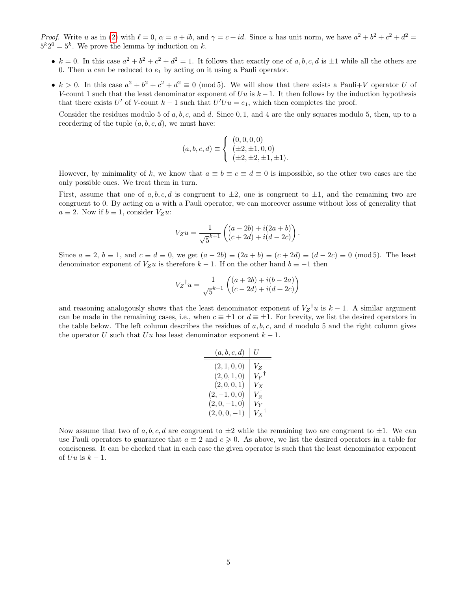*Proof.* Write u as in [\(2\)](#page-2-2) with  $\ell = 0$ ,  $\alpha = a + ib$ , and  $\gamma = c + id$ . Since u has unit norm, we have  $a^2 + b^2 + c^2 + d^2 =$  $5^k 2^0 = 5^k$ . We prove the lemma by induction on k.

- $k = 0$ . In this case  $a^2 + b^2 + c^2 + d^2 = 1$ . It follows that exactly one of a, b, c, d is  $\pm 1$  while all the others are 0. Then  $u$  can be reduced to  $e_1$  by acting on it using a Pauli operator.
- $k > 0$ . In this case  $a^2 + b^2 + c^2 + d^2 \equiv 0 \pmod{5}$ . We will show that there exists a Pauli+V operator U of V-count 1 such that the least denominator exponent of  $Uu$  is  $k-1$ . It then follows by the induction hypothesis that there exists U' of V-count  $k-1$  such that  $U'Uu = e_1$ , which then completes the proof.

Consider the residues modulo 5 of  $a, b, c$ , and  $d$ . Since 0, 1, and 4 are the only squares modulo 5, then, up to a reordering of the tuple  $(a, b, c, d)$ , we must have:

$$
(a, b, c, d) \equiv \begin{cases} (0, 0, 0, 0) \\ (\pm 2, \pm 1, 0, 0) \\ (\pm 2, \pm 2, \pm 1, \pm 1). \end{cases}
$$

However, by minimality of k, we know that  $a \equiv b \equiv c \equiv d \equiv 0$  is impossible, so the other two cases are the only possible ones. We treat them in turn.

First, assume that one of a, b, c, d is congruent to  $\pm 2$ , one is congruent to  $\pm 1$ , and the remaining two are congruent to 0. By acting on u with a Pauli operator, we can moreover assume without loss of generality that  $a \equiv 2$ . Now if  $b \equiv 1$ , consider  $V_Z u$ :

$$
V_Z u = \frac{1}{\sqrt{5}^{k+1}} \begin{pmatrix} (a-2b) + i(2a+b) \\ (c+2d) + i(d-2c) \end{pmatrix}
$$

.

Since  $a \equiv 2$ ,  $b \equiv 1$ , and  $c \equiv d \equiv 0$ , we get  $(a - 2b) \equiv (2a + b) \equiv (c + 2d) \equiv (d - 2c) \equiv 0 \pmod{5}$ . The least denominator exponent of  $V_Zu$  is therefore  $k-1$ . If on the other hand  $b \equiv -1$  then

$$
V_Z^{\dagger} u = \frac{1}{\sqrt{5}^{k+1}} \begin{pmatrix} (a+2b) + i(b-2a) \\ (c-2d) + i(d+2c) \end{pmatrix}
$$

and reasoning analogously shows that the least denominator exponent of  $V_Z^{\dagger}u$  is  $k-1$ . A similar argument can be made in the remaining cases, i.e., when  $c \equiv \pm 1$  or  $d \equiv \pm 1$ . For brevity, we list the desired operators in the table below. The left column describes the residues of  $a, b, c$ , and  $d$  modulo 5 and the right column gives the operator U such that Uu has least denominator exponent  $k-1$ .

| (a, b, c, d) | U                 |
|--------------|-------------------|
| (2, 1, 0, 0) | $V_{Z}$           |
| (2,0,1,0)    | $V_Y{}^\dagger$   |
| (2,0,0,1)    | $V_{X}$           |
| $(2,-1,0,0)$ | $V_Z^{\dagger}$   |
| $(2,0,-1,0)$ | $V_Y$             |
| $(2,0,0,-1)$ | $V_X{}^{\dagger}$ |

Now assume that two of a, b, c, d are congruent to  $\pm 2$  while the remaining two are congruent to  $\pm 1$ . We can use Pauli operators to guarantee that  $a \equiv 2$  and  $c \geq 0$ . As above, we list the desired operators in a table for conciseness. It can be checked that in each case the given operator is such that the least denominator exponent of  $Uu$  is  $k-1$ .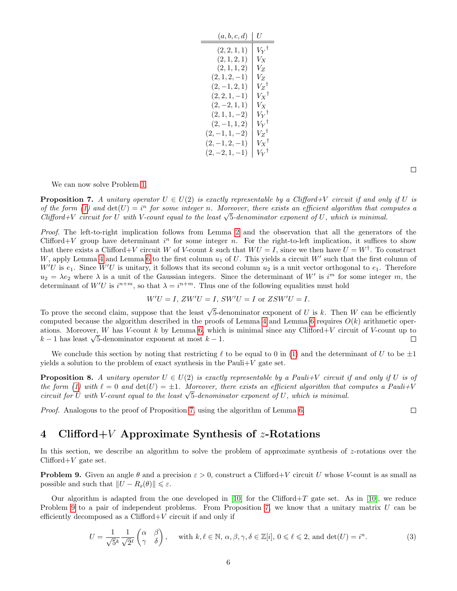| (a,b,c,d)        | U                   |
|------------------|---------------------|
| (2, 2, 1, 1)     | ${V_{Y}}^{\dagger}$ |
| (2, 1, 2, 1)     | $V_X$               |
| (2, 1, 1, 2)     | $V_{Z}$             |
| $(2,1,2,-1)$     | $V_{Z}$             |
| $(2,-1,2,1)$     | $V_Z{}^\dagger$     |
| $(2, 2, 1, -1)$  | $V_X{}^{\dagger}$   |
| $(2, -2, 1, 1)$  | $V_X$               |
| $(2,1,1,-2)$     | $V_Y{}^\dagger$     |
| $(2,-1,1,2)$     | $V_Y{}^\dagger$     |
| $(2,-1,1,-2)$    | $V_Z{}^{\dagger}$   |
| $(2,-1,2,-1)$    | $V_X{}^{\dagger}$   |
| $(2, -2, 1, -1)$ | $V_Y{}^{\dagger}$   |

We can now solve Problem [1.](#page-2-0)

<span id="page-5-0"></span>**Proposition 7.** A unitary operator  $U \in U(2)$  is exactly representable by a Clifford+V circuit if and only if U is of the form [\(1\)](#page-2-1) and  $det(U) = i^n$  for some integer n. Moreover, there exists an efficient algorithm that computes a of the form (1) and  $\det(U) = v^{\alpha}$  for some integer n. Moreover, there exists an efficient algorithm that co<br>Clifford+V circuit for U with V-count equal to the least  $\sqrt{5}$ -denominator exponent of U, which is minimal.

Proof. The left-to-right implication follows from Lemma [2](#page-2-3) and the observation that all the generators of the Clifford + V group have determinant  $i^n$  for some integer n. For the right-to-left implication, it suffices to show that there exists a Clifford+V circuit W of V-count k such that  $WU = I$ , since we then have  $U = W^{\dagger}$ . To construct W, apply Lemma [4](#page-3-1) and Lemma [6](#page-3-2) to the first column  $u_1$  of U. This yields a circuit W' such that the first column of  $W'U$  is  $e_1$ . Since  $W'U$  is unitary, it follows that its second column  $u_2$  is a unit vector orthogonal to  $e_1$ . Therefore  $u_2 = \lambda e_2$  where  $\lambda$  is a unit of the Gaussian integers. Since the determinant of W' is i<sup>m</sup> for some integer m, the determinant of  $W'U$  is  $i^{n+m}$ , so that  $\lambda = i^{n+m}$ . Thus one of the following equalities must hold

$$
W'U = I, ZW'U = I, SW'U = I \text{ or } ZSW'U = I.
$$

To prove the second claim, suppose that the least  $\sqrt{5}$ -denominator exponent of U is k. Then W can be efficiently computed because the algorithm described in the proofs of Lemma [4](#page-3-1) and Lemma [6](#page-3-2) requires  $O(k)$  arithmetic oper-ations. Moreover, W has V-count k by Lemma [6,](#page-3-2) which is minimal since any Clifford+V circuit of V-count up to ations. Moreover, *W* has *V*-count *k* by Lemma 6, which  $k-1$  has least  $\sqrt{5}$ -denominator exponent at most  $k-1$ .  $\Box$ 

We conclude this section by noting that restricting  $\ell$  to be equal to 0 in [\(1\)](#page-2-1) and the determinant of U to be  $\pm 1$ yields a solution to the problem of exact synthesis in the Pauli $+V$  gate set.

<span id="page-5-2"></span>**Proposition 8.** A unitary operator  $U \in U(2)$  is exactly representable by a Pauli+V circuit if and only if U is of the form [\(1\)](#page-2-1) with  $\ell = 0$  and  $\det(U) = \pm 1$ . Moreover, there exists an efficient algorithm that computes a Pauli+V the form (1) with  $t = 0$  and  $\det(U) = \pm 1$ . Moreover, there exists an efficient algorithm that<br>circuit for U with V-count equal to the least  $\sqrt{5}$ -denominator exponent of U, which is minimal.

Proof. Analogous to the proof of Proposition [7,](#page-5-0) using the algorithm of Lemma [6.](#page-3-2)

# 4 Clifford +  $V$  Approximate Synthesis of  $z$ -Rotations

In this section, we describe an algorithm to solve the problem of approximate synthesis of z-rotations over the  $Clifford+V$  gate set.

<span id="page-5-1"></span>**Problem 9.** Given an angle  $\theta$  and a precision  $\varepsilon > 0$ , construct a Clifford+V circuit U whose V-count is as small as possible and such that  $||U - R_z(\theta)|| \leq \varepsilon$ .

Our algorithm is adapted from the one developed in [\[10\]](#page-13-5) for the Clifford+T gate set. As in [10], we reduce Problem [9](#page-5-1) to a pair of independent problems. From Proposition [7,](#page-5-0) we know that a unitary matrix U can be efficiently decomposed as a  $Clifford+V$  circuit if and only if

$$
U = \frac{1}{\sqrt{5}^k} \frac{1}{\sqrt{2}^\ell} \begin{pmatrix} \alpha & \beta \\ \gamma & \delta \end{pmatrix}, \quad \text{with } k, \ell \in \mathbb{N}, \alpha, \beta, \gamma, \delta \in \mathbb{Z}[i], 0 \leqslant \ell \leqslant 2, \text{ and } \det(U) = i^n. \tag{3}
$$

 $\Box$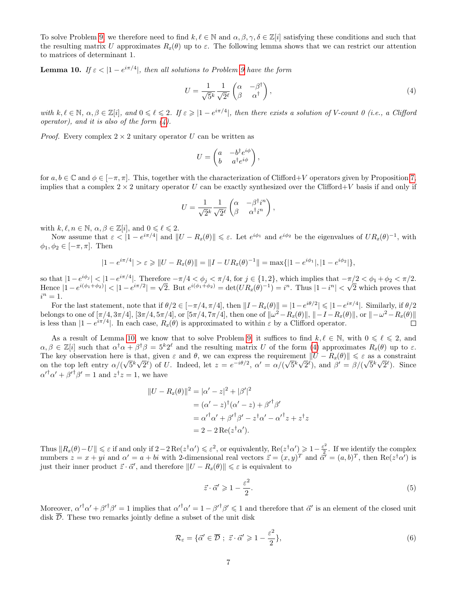To solve Problem [9,](#page-5-1) we therefore need to find  $k, \ell \in \mathbb{N}$  and  $\alpha, \beta, \gamma, \delta \in \mathbb{Z}[i]$  satisfying these conditions and such that the resulting matrix U approximates  $R_z(\theta)$  up to  $\varepsilon$ . The following lemma shows that we can restrict our attention to matrices of determinant 1.

<span id="page-6-1"></span>**Lemma 10.** If  $\varepsilon < |1 - e^{i\pi/4}|$ , then all solutions to Problem [9](#page-5-1) have the form

<span id="page-6-0"></span>
$$
U = \frac{1}{\sqrt{5}^k} \frac{1}{\sqrt{2}^\ell} \begin{pmatrix} \alpha & -\beta^\dagger \\ \beta & \alpha^\dagger \end{pmatrix},\tag{4}
$$

with  $k, \ell \in \mathbb{N}, \ \alpha, \beta \in \mathbb{Z}[i], \text{ and } 0 \leq \ell \leq 2.$  If  $\varepsilon \geq |1 - e^{i\pi/4}|$ , then there exists a solution of V-count 0 (i.e., a Clifford operator), and it is also of the form  $(4)$ .

*Proof.* Every complex  $2 \times 2$  unitary operator U can be written as

$$
U = \begin{pmatrix} a & -b^{\dagger} e^{i\phi} \\ b & a^{\dagger} e^{i\phi} \end{pmatrix},
$$

for  $a, b \in \mathbb{C}$  and  $\phi \in [-\pi, \pi]$ . This, together with the characterization of Clifford+V operators given by Proposition [7,](#page-5-0) implies that a complex  $2 \times 2$  unitary operator U can be exactly synthesized over the Clifford+V basis if and only if

$$
U=\frac{1}{\sqrt{2}^k}\frac{1}{\sqrt{2}^\ell}\begin{pmatrix} \alpha & -\beta^\dagger i^n\\ \beta & \alpha^\dagger i^n \end{pmatrix},
$$

with  $k, \ell, n \in \mathbb{N}, \alpha, \beta \in \mathbb{Z}[i], \text{ and } 0 \leq \ell \leq 2.$ 

Now assume that  $\varepsilon < |1 - e^{i\pi/4}|$  and  $||U - R_z(\theta)|| \leq \varepsilon$ . Let  $e^{i\phi_1}$  and  $e^{i\phi_2}$  be the eigenvalues of  $UR_z(\theta)^{-1}$ , with  $\phi_1, \phi_2 \in [-\pi, \pi]$ . Then

$$
|1 - e^{i\pi/4}| > \varepsilon \geq ||U - R_z(\theta)|| = ||I - UR_z(\theta)^{-1}|| = \max\{|1 - e^{i\phi_1}|, |1 - e^{i\phi_2}|\},
$$

so that  $|1-e^{i\phi_j}|<|1-e^{i\pi/4}|$ . Therefore  $-\pi/4<\phi_j<\pi/4$ , for  $j\in\{1,2\}$ , which implies that  $-\pi/2<\phi_1+\phi_2<\pi/2$ . Hence  $|1 - e^{i(\phi_1 + \phi_2)}| < |1 - e^{i\pi/2}| =$ √ re  $-\pi/4 < \phi_j < \pi/4$ , for  $j \in \{1, 2\}$ , which implies that  $-\pi$ ,<br>
2. But  $e^{i(\phi_1 + \phi_2)} = \det(UR_z(\theta)^{-1}) = i^n$ . Thus  $|1 - i^n| < \sqrt{2}$ 2 which proves that  $i^n=1$ .

For the last statement, note that if  $\theta/2 \in [-\pi/4, \pi/4]$ , then  $||I - R_z(\theta)|| = |1 - e^{i\theta/2}| \leq |1 - e^{i\pi/4}|$ . Similarly, if  $\theta/2$ belongs to one of  $[\pi/4, 3\pi/4]$ ,  $[3\pi/4, 5\pi/4]$ , or  $[5\pi/4, 7\pi/4]$ , then one of  $\|\omega^2 - R_z(\theta)\|$ ,  $\|-I - R_z(\theta)\|$ , or  $\|-\omega^2 - R_z(\theta)\|$ is less than  $|1 - e^{i\pi/4}|$ . In each case,  $R_z(\theta)$  is approximated to within  $\varepsilon$  by a Clifford operator.  $\Box$ 

As a result of Lemma [10,](#page-6-1) we know that to solve Problem [9,](#page-5-1) it suffices to find  $k, \ell \in \mathbb{N}$ , with  $0 \le \ell \le 2$ , and  $\alpha, \beta \in \mathbb{Z}[i]$  such that  $\alpha^{\dagger} \alpha + \beta^{\dagger} \beta = 5^k 2^{\ell}$  and the resulting matrix U of the form [\(4\)](#page-6-0) approximates  $R_z(\theta)$  up to  $\varepsilon$ . The key observation here is that, given  $\varepsilon$  and  $\theta$ , we can express the requirement  $||U - R_z(\theta)|| \leq \varepsilon$  as a constraint on the top left entry  $\alpha/(\sqrt{5}^k\sqrt{2}^{\ell})$  of U. Indeed, let  $z=e^{-i\theta/2}$ ,  $\alpha'=\alpha/(\sqrt{5}^k\sqrt{2}^{\ell})$ , and  $\beta'=\beta/(\sqrt{5}^k\sqrt{2}^{\ell})$ . Since  ${\alpha'}^{\dagger} {\alpha'} + {\beta'}^{\dagger} {\beta'} = 1$  and  $z^{\dagger} z = 1$ , we have

$$
||U - R_z(\theta)||^2 = |\alpha' - z|^2 + |\beta'|^2
$$
  
=  $(\alpha' - z)^{\dagger} (\alpha' - z) + {\beta'}^{\dagger} {\beta'}$   
=  $\alpha'^{\dagger} \alpha' + {\beta'}^{\dagger} {\beta'} - z^{\dagger} \alpha' - {\alpha'}^{\dagger} z + z^{\dagger} z$   
=  $2 - 2 \operatorname{Re}(z^{\dagger} \alpha').$ 

Thus  $||R_z(\theta)-U|| \leq \varepsilon$  if and only if  $2-2\operatorname{Re}(z^{\dagger}\alpha') \leq \varepsilon^2$ , or equivalently,  $\operatorname{Re}(z^{\dagger}\alpha') \geqslant 1-\frac{\varepsilon^2}{2}$  $\frac{z^2}{2}$ . If we identify the complex numbers  $z = x + yi$  and  $\alpha' = a + bi$  with 2-dimensional real vectors  $\vec{z} = (x, y)^T$  and  $\vec{\alpha'} = (a, b)^T$ , then  $\text{Re}(z^{\dagger} \alpha')$  is just their inner product  $\vec{z} \cdot \vec{\alpha}'$ , and therefore  $||U - R_z(\theta)|| \leq \varepsilon$  is equivalent to

<span id="page-6-2"></span>
$$
\vec{z} \cdot \vec{\alpha}' \ge 1 - \frac{\varepsilon^2}{2}.\tag{5}
$$

Moreover,  ${\alpha'}^{\dagger} {\alpha'} + {\beta'}^{\dagger} {\beta'} = 1$  implies that  ${\alpha'}^{\dagger} {\alpha'} = 1 - {\beta'}^{\dagger} {\beta'} \leq 1$  and therefore that  $\vec{\alpha'}$  is an element of the closed unit disk  $\overline{\mathcal{D}}$ . These two remarks jointly define a subset of the unit disk

$$
\mathcal{R}_{\varepsilon} = \{ \vec{\alpha}' \in \overline{\mathcal{D}} \; ; \; \vec{z} \cdot \vec{\alpha}' \geqslant 1 - \frac{\varepsilon^2}{2} \},\tag{6}
$$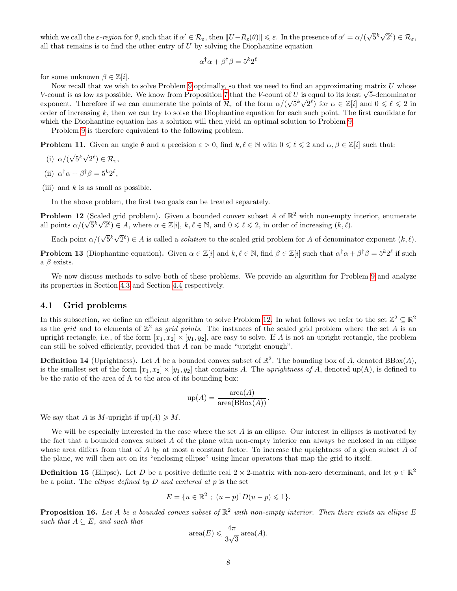which we call the  $\varepsilon$ -region for  $\theta$ , such that if  $\alpha' \in \mathcal{R}_{\varepsilon}$ , then  $||U - R_z(\theta)|| \leq \varepsilon$ . In the presence of  $\alpha' = \alpha/(\sqrt{\varepsilon})$  $\bar{5}^k\sqrt{ }$  $(\overline{2}^{\ell}) \in \mathcal{R}_{\varepsilon},$ all that remains is to find the other entry of  $U$  by solving the Diophantine equation

$$
\alpha^{\dagger}\alpha + \beta^{\dagger}\beta = 5^k 2^{\ell}
$$

for some unknown  $\beta \in \mathbb{Z}[i]$ .

Now recall that we wish to solve Problem [9](#page-5-1) optimally, so that we need to find an approximating matrix  $U$  whose Now recall that we wish to solve Problem 9 optimally, so that we need to find an approximating matrix  $U$  whose V-count is as low as possible. We know from Proposition [7](#page-5-0) that the V-count of U is equal to its least  $\sqrt{5}$ exponent. Therefore if we can enumerate the points of  $\mathcal{R}_{\varepsilon}$  of the form  $\alpha/(\sqrt{5}^k\sqrt{2}^{\ell})$  for  $\alpha \in \mathbb{Z}[i]$  and  $0 \leq \ell \leq 2$  in order of increasing  $k$ , then we can try to solve the Diophantine equation for each such point. The first candidate for which the Diophantine equation has a solution will then yield an optimal solution to Problem [9.](#page-5-1)

Problem [9](#page-5-1) is therefore equivalent to the following problem.

<span id="page-7-5"></span>**Problem 11.** Given an angle  $\theta$  and a precision  $\varepsilon > 0$ , find  $k, \ell \in \mathbb{N}$  with  $0 \le \ell \le 2$  and  $\alpha, \beta \in \mathbb{Z}[i]$  such that:

- (i)  $\alpha$ /( √  $\bar{5}^k\sqrt{ }$  $(\overline{2}^{\ell}) \in \mathcal{R}_{\varepsilon},$
- (ii)  $\alpha^{\dagger} \alpha + \beta^{\dagger} \beta = 5^k 2^{\ell}$ ,
- (iii) and  $k$  is as small as possible.

In the above problem, the first two goals can be treated separately.

<span id="page-7-1"></span>**Problem 12** (Scaled grid problem). Given a bounded convex subset A of  $\mathbb{R}^2$  with non-empty interior, enumerate all points  $\alpha/(\sqrt{5}^k \sqrt{2}^{\ell}) \in A$ , where  $\alpha \in \mathbb{Z}[i], k, \ell \in \mathbb{N}$ , and  $0 \leq \ell \leq 2$ , in order of increasing  $(k, \ell)$ .

Each point  $\alpha$ /( √  $\bar{5}^k\sqrt{ }$  $\overline{2}^{\ell}$ )  $\in$  A is called a *solution* to the scaled grid problem for A of denominator exponent  $(k, \ell)$ .

<span id="page-7-4"></span>**Problem 13** (Diophantine equation). Given  $\alpha \in \mathbb{Z}[i]$  and  $k, \ell \in \mathbb{N}$ , find  $\beta \in \mathbb{Z}[i]$  such that  $\alpha^{\dagger} \alpha + \beta^{\dagger} \beta = 5^k 2^{\ell}$  if such a  $\beta$  exists.

We now discuss methods to solve both of these problems. We provide an algorithm for Problem [9](#page-5-1) and analyze its properties in Section [4.3](#page-9-0) and Section [4.4](#page-10-0) respectively.

#### <span id="page-7-0"></span>4.1 Grid problems

In this subsection, we define an efficient algorithm to solve Problem [12.](#page-7-1) In what follows we refer to the set  $\mathbb{Z}^2 \subseteq \mathbb{R}^2$ as the grid and to elements of  $\mathbb{Z}^2$  as grid points. The instances of the scaled grid problem where the set A is an upright rectangle, i.e., of the form  $[x_1, x_2] \times [y_1, y_2]$ , are easy to solve. If A is not an upright rectangle, the problem can still be solved efficiently, provided that  $A$  can be made "upright enough".

<span id="page-7-2"></span>**Definition 14** (Uprightness). Let A be a bounded convex subset of  $\mathbb{R}^2$ . The bounding box of A, denoted  $BBox(A)$ , is the smallest set of the form  $[x_1, x_2] \times [y_1, y_2]$  that contains A. The uprightness of A, denoted up(A), is defined to be the ratio of the area of A to the area of its bounding box:

$$
up(A) = \frac{\text{area}(A)}{\text{area}(BBox(A))}.
$$

We say that A is M-upright if  $up(A) \geq M$ .

We will be especially interested in the case where the set  $A$  is an ellipse. Our interest in ellipses is motivated by the fact that a bounded convex subset A of the plane with non-empty interior can always be enclosed in an ellipse whose area differs from that of  $A$  by at most a constant factor. To increase the uprightness of a given subset  $A$  of the plane, we will then act on its "enclosing ellipse" using linear operators that map the grid to itself.

**Definition 15** (Ellipse). Let D be a positive definite real  $2 \times 2$ -matrix with non-zero determinant, and let  $p \in \mathbb{R}^2$ be a point. The *ellipse defined by*  $D$  *and centered at*  $p$  is the set

$$
E = \{ u \in \mathbb{R}^2 \; ; \; (u - p)^{\dagger} D(u - p) \leq 1 \}.
$$

<span id="page-7-3"></span>**Proposition 16.** Let A be a bounded convex subset of  $\mathbb{R}^2$  with non-empty interior. Then there exists an ellipse E such that  $A \subseteq E$ , and such that

$$
\operatorname{area}(E) \leqslant \frac{4\pi}{3\sqrt{3}} \operatorname{area}(A).
$$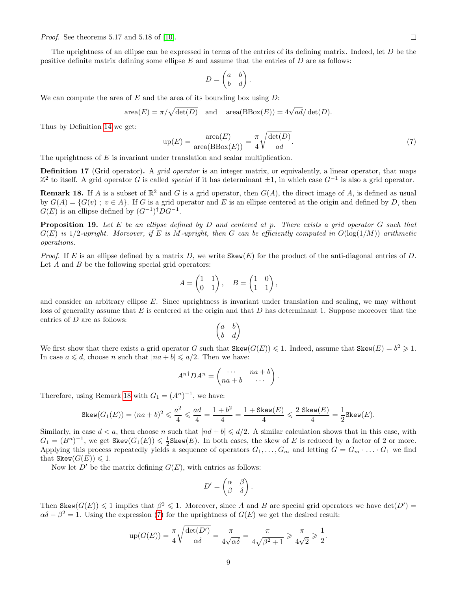Proof. See theorems 5.17 and 5.18 of [\[10\]](#page-13-5).

The uprightness of an ellipse can be expressed in terms of the entries of its defining matrix. Indeed, let D be the positive definite matrix defining some ellipse  $E$  and assume that the entries of  $D$  are as follows:

$$
D = \begin{pmatrix} a & b \\ b & d \end{pmatrix}.
$$

We can compute the area of  $E$  and the area of its bounding box using  $D$ :

<span id="page-8-1"></span>
$$
\operatorname{area}(E) = \pi/\sqrt{\det(D)} \quad \text{and} \quad \operatorname{area}(\operatorname{BBox}(E)) = 4\sqrt{ad}/\det(D).
$$

Thus by Definition [14](#page-7-2) we get:

$$
up(E) = \frac{\text{area}(E)}{\text{area}(B\text{Box}(E))} = \frac{\pi}{4} \sqrt{\frac{\text{det}(D)}{ad}}.
$$
\n(7)

The uprightness of  $E$  is invariant under translation and scalar multiplication.

Definition 17 (Grid operator). A grid operator is an integer matrix, or equivalently, a linear operator, that maps  $\mathbb{Z}^2$  to itself. A grid operator G is called special if it has determinant  $\pm 1$ , in which case  $G^{-1}$  is also a grid operator.

<span id="page-8-0"></span>**Remark 18.** If A is a subset of  $\mathbb{R}^2$  and G is a grid operator, then  $G(A)$ , the direct image of A, is defined as usual by  $G(A) = \{G(v) : v \in A\}$ . If G is a grid operator and E is an ellipse centered at the origin and defined by D, then  $G(E)$  is an ellipse defined by  $(G^{-1})^{\dagger}DG^{-1}$ .

<span id="page-8-2"></span>**Proposition 19.** Let E be an ellipse defined by D and centered at p. There exists a grid operator G such that  $G(E)$  is 1/2-upright. Moreover, if E is M-upright, then G can be efficiently computed in  $O(\log(1/M))$  arithmetic operations.

*Proof.* If E is an ellipse defined by a matrix D, we write  $Skew(E)$  for the product of the anti-diagonal entries of D. Let  $A$  and  $B$  be the following special grid operators:

$$
A = \begin{pmatrix} 1 & 1 \\ 0 & 1 \end{pmatrix}, \quad B = \begin{pmatrix} 1 & 0 \\ 1 & 1 \end{pmatrix},
$$

and consider an arbitrary ellipse E. Since uprightness is invariant under translation and scaling, we may without loss of generality assume that  $E$  is centered at the origin and that  $D$  has determinant 1. Suppose moreover that the entries of D are as follows:

$$
\begin{pmatrix} a & b \\ b & d \end{pmatrix}
$$

We first show that there exists a grid operator G such that  $\texttt{Skew}(G(E)) \leq 1$ . Indeed, assume that  $\texttt{Skew}(E) = b^2 \geq 1$ . In case  $a \leq d$ , choose n such that  $|na + b| \leq a/2$ . Then we have:

$$
A^{n\dagger}DA^n = \begin{pmatrix} \cdots & na+b \\ na+b & \cdots \end{pmatrix}.
$$

Therefore, using Remark [18](#page-8-0) with  $G_1 = (A^n)^{-1}$ , we have:

$$
\texttt{Skew}(G_1(E)) = (na+b)^2 \leqslant \frac{a^2}{4} \leqslant \frac{ad}{4} = \frac{1+b^2}{4} = \frac{1+\texttt{Skew}(E)}{4} \leqslant \frac{2\text{ Skew}(E)}{4} = \frac{1}{2}\texttt{Skew}(E).
$$

Similarly, in case  $d < a$ , then choose n such that  $|nd + b| \leq d/2$ . A similar calculation shows that in this case, with  $G_1 = (B^n)^{-1}$ , we get  $\texttt{Skew}(G_1(E)) \leq \frac{1}{2} \texttt{Skew}(E)$ . In both cases, the skew of E is reduced by a factor of 2 or more. Applying this process repeatedly yields a sequence of operators  $G_1, \ldots, G_m$  and letting  $G = G_m \cdot \ldots \cdot G_1$  we find that  $\texttt{Skew}(G(E)) \leq 1$ .

Now let  $D'$  be the matrix defining  $G(E)$ , with entries as follows:

$$
D' = \begin{pmatrix} \alpha & \beta \\ \beta & \delta \end{pmatrix}.
$$

Then Skew $(G(E)) \leq 1$  implies that  $\beta^2 \leq 1$ . Moreover, since A and B are special grid operators we have  $\det(D') =$  $\alpha\delta - \beta^2 = 1$ . Using the expression [\(7\)](#page-8-1) for the uprightness of  $G(E)$  we get the desired result:

$$
\text{up}(G(E)) = \frac{\pi}{4} \sqrt{\frac{\det(D')}{\alpha \delta}} = \frac{\pi}{4\sqrt{\alpha \delta}} = \frac{\pi}{4\sqrt{\beta^2 + 1}} \geqslant \frac{\pi}{4\sqrt{2}} \geqslant \frac{1}{2}.
$$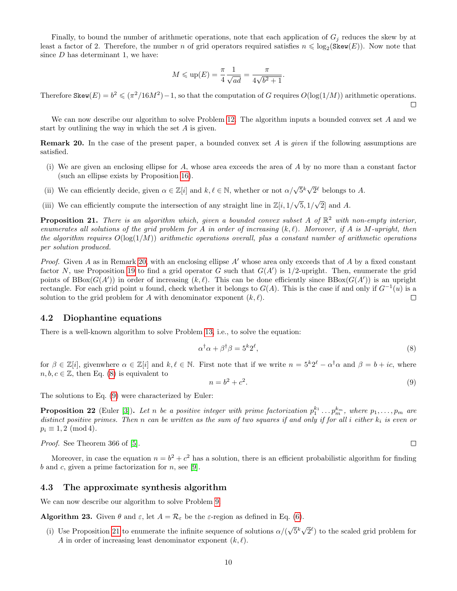Finally, to bound the number of arithmetic operations, note that each application of  $G_i$  reduces the skew by at least a factor of 2. Therefore, the number n of grid operators required satisfies  $n \leq \log_2(\text{Skew}(E))$ . Now note that since  $D$  has determinant 1, we have:

$$
M \leqslant \text{up}(E) = \frac{\pi}{4} \frac{1}{\sqrt{ad}} = \frac{\pi}{4\sqrt{b^2 + 1}}
$$

.

Therefore Skew $(E) = b^2 \le (\pi^2/16M^2) - 1$ , so that the computation of G requires  $O(\log(1/M))$  arithmetic operations.  $\Box$ 

We can now describe our algorithm to solve Problem [12.](#page-7-1) The algorithm inputs a bounded convex set A and we start by outlining the way in which the set A is given.

<span id="page-9-1"></span>Remark 20. In the case of the present paper, a bounded convex set A is given if the following assumptions are satisfied.

- (i) We are given an enclosing ellipse for A, whose area exceeds the area of A by no more than a constant factor (such an ellipse exists by Proposition [16\)](#page-7-3).
- (ii) We can efficiently decide, given  $\alpha \in \mathbb{Z}[i]$  and  $k, \ell \in \mathbb{N}$ , whether or not  $\alpha/\sqrt{5}^k \sqrt{5}$  $\bar{2}^{\ell}$  belongs to A.
- (iii) We can efficiently compute the intersection of any straight line in  $\mathbb{Z}[i,1/\sqrt{2}]$  $5, 1/$ √ 2] and A.

<span id="page-9-4"></span>**Proposition 21.** There is an algorithm which, given a bounded convex subset A of  $\mathbb{R}^2$  with non-empty interior, enumerates all solutions of the grid problem for A in order of increasing  $(k, \ell)$ . Moreover, if A is M-upright, then the algorithm requires  $O(\log(1/M))$  arithmetic operations overall, plus a constant number of arithmetic operations per solution produced.

*Proof.* Given A as in Remark [20,](#page-9-1) with an enclosing ellipse A' whose area only exceeds that of A by a fixed constant factor N, use Proposition [19](#page-8-2) to find a grid operator G such that  $G(A')$  is 1/2-upright. Then, enumerate the grid points of  $BBox(G(A'))$  in order of increasing  $(k, \ell)$ . This can be done efficiently since  $BBox(G(A'))$  is an upright rectangle. For each grid point u found, check whether it belongs to  $G(A)$ . This is the case if and only if  $G^{-1}(u)$  is a solution to the grid problem for A with denominator exponent  $(k, \ell)$ .  $\Box$ 

#### <span id="page-9-5"></span>4.2 Diophantine equations

There is a well-known algorithm to solve Problem [13,](#page-7-4) i.e., to solve the equation:

<span id="page-9-3"></span><span id="page-9-2"></span>
$$
\alpha^{\dagger}\alpha + \beta^{\dagger}\beta = 5^k 2^\ell,\tag{8}
$$

for  $\beta \in \mathbb{Z}[i]$ , givenwhere  $\alpha \in \mathbb{Z}[i]$  and  $k, \ell \in \mathbb{N}$ . First note that if we write  $n = 5^k 2^{\ell} - \alpha^{\dagger} \alpha$  and  $\beta = b + ic$ , where  $n, b, c \in \mathbb{Z}$ , then Eq. [\(8\)](#page-9-2) is equivalent to

$$
n = b^2 + c^2. \tag{9}
$$

The solutions to Eq. [\(9\)](#page-9-3) were characterized by Euler:

<span id="page-9-7"></span>**Proposition 22** (Euler [\[3\]](#page-13-9)). Let n be a positive integer with prime factorization  $p_1^{k_1} \ldots p_m^{k_m}$ , where  $p_1, \ldots, p_m$  are distinct positive primes. Then n can be written as the sum of two squares if and only if for all i either  $k_i$  is even or  $p_i \equiv 1, 2 \pmod{4}$ .

Proof. See Theorem 366 of [\[5\]](#page-13-10).

Moreover, in case the equation  $n = b^2 + c^2$  has a solution, there is an efficient probabilistic algorithm for finding b and c, given a prime factorization for  $n$ , see [\[9\]](#page-13-11).

#### <span id="page-9-0"></span>4.3 The approximate synthesis algorithm

<span id="page-9-6"></span>We can now describe our algorithm to solve Problem [9.](#page-5-1)

**Algorithm 23.** Given  $\theta$  and  $\varepsilon$ , let  $A = \mathcal{R}_{\varepsilon}$  be the  $\varepsilon$ -region as defined in Eq. [\(6\)](#page-6-2).

(i) Use Proposition [21](#page-9-4) to enumerate the infinite sequence of solutions  $\alpha/(\alpha)$ √  $\bar{5}^k\sqrt{ }$  $\overline{2}^{\ell}$  to the scaled grid problem for A in order of increasing least denominator exponent  $(k, \ell)$ .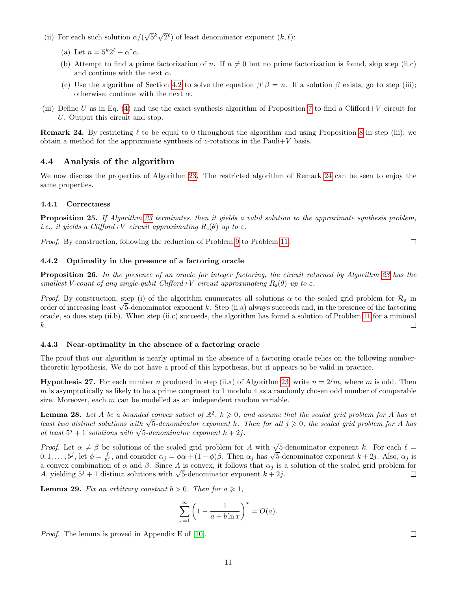- (ii) For each such solution  $\alpha$ /( √  $\bar{5}^k\sqrt{ }$  $\overline{2}^{\ell}$  of least denominator exponent  $(k, \ell)$ :
	- (a) Let  $n = 5^k 2^\ell \alpha^\dagger \alpha$ .
	- (b) Attempt to find a prime factorization of n. If  $n \neq 0$  but no prime factorization is found, skip step (ii.c) and continue with the next  $\alpha$ .
	- (c) Use the algorithm of Section [4.2](#page-9-5) to solve the equation  $\beta^{\dagger} \beta = n$ . If a solution  $\beta$  exists, go to step (iii); otherwise, continue with the next  $\alpha$ .
- (iii) Define U as in Eq. [\(4\)](#page-6-0) and use the exact synthesis algorithm of Proposition [7](#page-5-0) to find a Clifford+V circuit for U. Output this circuit and stop.

<span id="page-10-1"></span>**Remark 24.** By restricting  $\ell$  to be equal to 0 throughout the algorithm and using Proposition [8](#page-5-2) in step (iii), we obtain a method for the approximate synthesis of z-rotations in the Pauli $+V$  basis.

#### <span id="page-10-0"></span>4.4 Analysis of the algorithm

We now discuss the properties of Algorithm [23.](#page-9-6) The restricted algorithm of Remark [24](#page-10-1) can be seen to enjoy the same properties.

#### 4.4.1 Correctness

Proposition 25. If Algorithm [23](#page-9-6) terminates, then it yields a valid solution to the approximate synthesis problem, i.e., it yields a Clifford+V circuit approximating  $R_z(\theta)$  up to  $\varepsilon$ .

Proof. By construction, following the reduction of Problem [9](#page-5-1) to Problem [11.](#page-7-5)

#### 4.4.2 Optimality in the presence of a factoring oracle

Proposition 26. In the presence of an oracle for integer factoring, the circuit returned by Algorithm [23](#page-9-6) has the smallest V-count of any single-qubit Clifford+V circuit approximating  $R_z(\theta)$  up to  $\varepsilon$ .

*Proof.* By construction, step (i) of the algorithm enumerates all solutions  $\alpha$  to the scaled grid problem for  $\mathcal{R}_{\varepsilon}$  in *Proof.* By construction, step (i) or the aigorithm enumerates all solutions  $\alpha$  to the scaled grid problem for  $\kappa_{\varepsilon}$  in order of increasing least  $\sqrt{5}$ -denominator exponent k. Step (ii.a) always succeeds and, in oracle, so does step (ii.b). When step (ii.c) succeeds, the algorithm has found a solution of Problem [11](#page-7-5) for a minimal k.  $\Box$ 

#### 4.4.3 Near-optimality in the absence of a factoring oracle

The proof that our algorithm is nearly optimal in the absence of a factoring oracle relies on the following numbertheoretic hypothesis. We do not have a proof of this hypothesis, but it appears to be valid in practice.

<span id="page-10-2"></span>**Hypothesis 27.** For each number n produced in step (ii.a) of Algorithm [23,](#page-9-6) write  $n = 2<sup>j</sup>m$ , where m is odd. Then  $m$  is asymptotically as likely to be a prime congruent to 1 modulo 4 as a randomly chosen odd number of comparable size. Moreover, each  $m$  can be modelled as an independent random variable.

<span id="page-10-3"></span>**Lemma 28.** Let A be a bounded convex subset of  $\mathbb{R}^2$ ,  $k \geq 0$ , and assume that the scaled grid problem for A has at **Lemma 28.** Let A be a bounded convex subset of  $\kappa^2$ ,  $\kappa \geq 0$ , and assume that the scaled grid problem for A has at least two distinct solutions with  $\sqrt{5}$ -denominator exponent k. Then for all j ≥ 0, the scaled g *Least two aistinct solutions with*  $\sqrt{5}$ -denominator exponent  $k + 2j$ .<br>at least  $5^j + 1$  solutions with  $\sqrt{5}$ -denominator exponent  $k + 2j$ .

Proof. Let  $\alpha \neq \beta$  be solutions of the scaled grid problem for A with  $\sqrt{5}$ -denominator exponent k. For each  $\ell =$ *Proof.* Let  $\alpha \neq \beta$  be solutions of the scaled grid problem for A with  $\sqrt{5}$ -denominator exponent k. For each  $\ell = 0, 1, ..., 5^j$ , let  $\phi = \frac{\ell}{5^j}$ , and consider  $\alpha_j = \phi \alpha + (1 - \phi)\beta$ . Then  $\alpha_j$  has  $\sqrt{5}$ -denominator a convex combination of  $\alpha$  and  $\beta$ . Since A is convex, it follows that  $\alpha_j$  is a solution of the scaled grid problem for a convex combination of  $\alpha$  and  $\beta$ . Since A is convex, it follows that  $\alpha_j$  is a A, yielding  $5^j + 1$  distinct solutions with  $\sqrt{5}$ -denominator exponent  $k + 2j$ .  $\Box$ 

<span id="page-10-4"></span>**Lemma 29.** Fix an arbitrary constant  $b > 0$ . Then for  $a \ge 1$ ,

$$
\sum_{x=1}^{\infty} \left( 1 - \frac{1}{a + b \ln x} \right)^x = O(a).
$$

Proof. The lemma is proved in Appendix E of [\[10\]](#page-13-5).

 $\Box$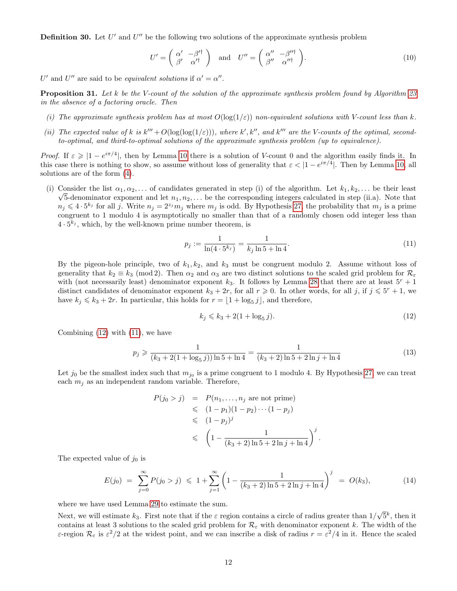**Definition 30.** Let  $U'$  and  $U''$  be the following two solutions of the approximate synthesis problem

<span id="page-11-3"></span>
$$
U' = \begin{pmatrix} \alpha' & -\beta'^{\dagger} \\ \beta' & \alpha'^{\dagger} \end{pmatrix} \text{ and } U'' = \begin{pmatrix} \alpha'' & -\beta''^{\dagger} \\ \beta'' & \alpha''^{\dagger} \end{pmatrix}.
$$
 (10)

U' and U'' are said to be *equivalent solutions* if  $\alpha' = \alpha''$ .

Proposition 31. Let k be the V-count of the solution of the approximate synthesis problem found by Algorithm [23](#page-9-6) in the absence of a factoring oracle. Then

- (i) The approximate synthesis problem has at most  $O(\log(1/\varepsilon))$  non-equivalent solutions with V-count less than k.
- (ii) The expected value of k is  $k''' + O(\log(\log(1/\varepsilon)))$ , where k', k'', and k''' are the V-counts of the optimal, secondto-optimal, and third-to-optimal solutions of the approximate synthesis problem (up to equivalence).

Proof. If  $\varepsilon \geq 1 - e^{i\pi/4}$ , then by Lemma [10](#page-6-1) there is a solution of V-count 0 and the algorithm easily finds it. In this case there is nothing to show, so assume without loss of generality that  $\varepsilon < |1 - e^{i\pi/4}|$ . Then by Lemma [10,](#page-6-1) all solutions are of the form [\(4\)](#page-6-0).

(i) Consider the list  $\alpha_1, \alpha_2, \ldots$  of candidates generated in step (i) of the algorithm. Let  $k_1, k_2, \ldots$  be their least  $\sqrt{5}$ -denominator exponent and let  $n_1, n_2, \ldots$  be the corresponding integers calculated in step (ii.a). Note that  $n_j \leqslant 4 \cdot 5^{k_j}$  for all j. Write  $n_j = 2^{z_j} m_j$  where  $m_j$  is odd. By Hypothesis [27,](#page-10-2) the probability that  $m_j$  is a prime congruent to 1 modulo 4 is asymptotically no smaller than that of a randomly chosen odd integer less than  $4 \cdot 5^{k_j}$ , which, by the well-known prime number theorem, is

<span id="page-11-1"></span>
$$
p_j := \frac{1}{\ln(4 \cdot 5^{k_j})} = \frac{1}{k_j \ln 5 + \ln 4}.
$$
\n(11)

By the pigeon-hole principle, two of  $k_1, k_2$ , and  $k_3$  must be congruent modulo 2. Assume without loss of generality that  $k_2 \equiv k_3 \pmod{2}$ . Then  $\alpha_2$  and  $\alpha_3$  are two distinct solutions to the scaled grid problem for  $\mathcal{R}_{\varepsilon}$ with (not necessarily least) denominator exponent  $k_3$ . It follows by Lemma [28](#page-10-3) that there are at least  $5^r + 1$ distinct candidates of denominator exponent  $k_3 + 2r$ , for all  $r \geq 0$ . In other words, for all j, if  $j \leq 5^r + 1$ , we have  $k_j \leq k_3 + 2r$ . In particular, this holds for  $r = \lfloor 1 + \log_5 j \rfloor$ , and therefore,

<span id="page-11-0"></span>
$$
k_j \le k_3 + 2(1 + \log_5 j). \tag{12}
$$

.

Combining  $(12)$  with  $(11)$ , we have

$$
p_j \geqslant \frac{1}{(k_3 + 2(1 + \log_5 j))\ln 5 + \ln 4} = \frac{1}{(k_3 + 2)\ln 5 + 2\ln j + \ln 4}
$$
\n(13)

Let  $j_0$  be the smallest index such that  $m_{j_0}$  is a prime congruent to 1 modulo 4. By Hypothesis [27,](#page-10-2) we can treat each  $m_i$  as an independent random variable. Therefore,

<span id="page-11-2"></span>
$$
P(j_0 > j) = P(n_1, ..., n_j \text{ are not prime})
$$
  
\$\leqslant (1 - p\_1)(1 - p\_2) \cdots (1 - p\_j)\$  
\$\leqslant (1 - p\_j)^j\$  
\$\leqslant \left(1 - \frac{1}{(k\_3 + 2) \ln 5 + 2 \ln j + \ln 4}\right)^j\$

The expected value of  $j_0$  is

$$
E(j_0) = \sum_{j=0}^{\infty} P(j_0 > j) \leq 1 + \sum_{j=1}^{\infty} \left( 1 - \frac{1}{(k_3 + 2) \ln 5 + 2 \ln j + \ln 4} \right)^j = O(k_3), \tag{14}
$$

where we have used Lemma [29](#page-10-4) to estimate the sum.

Next, we will estimate  $k_3$ . First note that if the  $\varepsilon$  region contains a circle of radius greater than  $1/$ √  $\bar{5}^k$ , then it contains at least 3 solutions to the scaled grid problem for  $\mathcal{R}_{\varepsilon}$  with denominator exponent k. The width of the ε-region  $\mathcal{R}_{\varepsilon}$  is  $\varepsilon^2/2$  at the widest point, and we can inscribe a disk of radius  $r = \varepsilon^2/4$  in it. Hence the scaled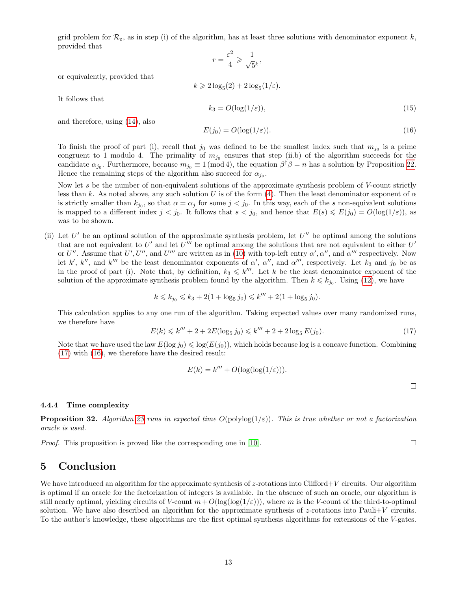grid problem for  $\mathcal{R}_{\varepsilon}$ , as in step (i) of the algorithm, has at least three solutions with denominator exponent k, provided that

$$
r = \frac{\varepsilon^2}{4} \geqslant \frac{1}{\sqrt{5}^k},
$$

or equivalently, provided that

$$
k \geqslant 2\log_5(2) + 2\log_5(1/\varepsilon).
$$

It follows that

$$
k_3 = O(\log(1/\varepsilon)),\tag{15}
$$

and therefore, using [\(14\)](#page-11-2), also

<span id="page-12-1"></span>
$$
E(j_0) = O(\log(1/\varepsilon)).\tag{16}
$$

To finish the proof of part (i), recall that  $j_0$  was defined to be the smallest index such that  $m_{j_0}$  is a prime congruent to 1 modulo 4. The primality of  $m_{j_0}$  ensures that step (ii.b) of the algorithm succeeds for the candidate  $\alpha_{j_0}$ . Furthermore, because  $m_{j_0} \equiv 1 \pmod{4}$ , the equation  $\beta^{\dagger} \beta = n$  has a solution by Proposition [22.](#page-9-7) Hence the remaining steps of the algorithm also succeed for  $\alpha_{j_0}$ .

Now let s be the number of non-equivalent solutions of the approximate synthesis problem of V-count strictly less than k. As noted above, any such solution U is of the form [\(4\)](#page-6-0). Then the least denominator exponent of  $\alpha$ is strictly smaller than  $k_{j_0}$ , so that  $\alpha = \alpha_j$  for some  $j < j_0$ . In this way, each of the s non-equivalent solutions is mapped to a different index  $j < j_0$ . It follows that  $s < j_0$ , and hence that  $E(s) \leq E(j_0) = O(\log(1/\varepsilon))$ , as was to be shown.

(ii) Let  $U'$  be an optimal solution of the approximate synthesis problem, let  $U''$  be optimal among the solutions that are not equivalent to  $U'$  and let  $U'''$  be optimal among the solutions that are not equivalent to either  $U'$ or U''. Assume that U', U'', and U''' are written as in [\(10\)](#page-11-3) with top-left entry  $\alpha', \alpha''$ , and  $\alpha'''$  respectively. Now let k', k'', and k''' be the least denominator exponents of  $\alpha'$ ,  $\alpha''$ , and  $\alpha'''$ , respectively. Let k<sub>3</sub> and j<sub>0</sub> be as in the proof of part (i). Note that, by definition,  $k_3 \leq k'''.$  Let k be the least denominator exponent of the solution of the approximate synthesis problem found by the algorithm. Then  $k \leq k_{j_0}$ . Using [\(12\)](#page-11-0), we have

$$
k \leq k_{j_0} \leq k_3 + 2(1+\log_5 j_0) \leq k''' + 2(1+\log_5 j_0).
$$

This calculation applies to any one run of the algorithm. Taking expected values over many randomized runs, we therefore have

<span id="page-12-0"></span>
$$
E(k) \le k''' + 2 + 2E(\log_5 j_0) \le k''' + 2 + 2\log_5 E(j_0).
$$
\n(17)

Note that we have used the law  $E(\log j_0) \leq \log(E(j_0))$ , which holds because log is a concave function. Combining [\(17\)](#page-12-0) with [\(16\)](#page-12-1), we therefore have the desired result:

$$
E(k) = k''' + O(\log(\log(1/\varepsilon))).
$$

4.4.4 Time complexity

**Proposition 32.** Algorithm [23](#page-9-6) runs in expected time  $O(\text{polylog}(1/\varepsilon))$ . This is true whether or not a factorization oracle is used.

*Proof.* This proposition is proved like the corresponding one in [\[10\]](#page-13-5).

# 5 Conclusion

We have introduced an algorithm for the approximate synthesis of  $z$ -rotations into Clifford+V circuits. Our algorithm is optimal if an oracle for the factorization of integers is available. In the absence of such an oracle, our algorithm is still nearly optimal, yielding circuits of V-count  $m+O(\log(\log(1/\varepsilon)))$ , where m is the V-count of the third-to-optimal solution. We have also described an algorithm for the approximate synthesis of z-rotations into Pauli+V circuits. To the author's knowledge, these algorithms are the first optimal synthesis algorithms for extensions of the V-gates.

 $\Box$